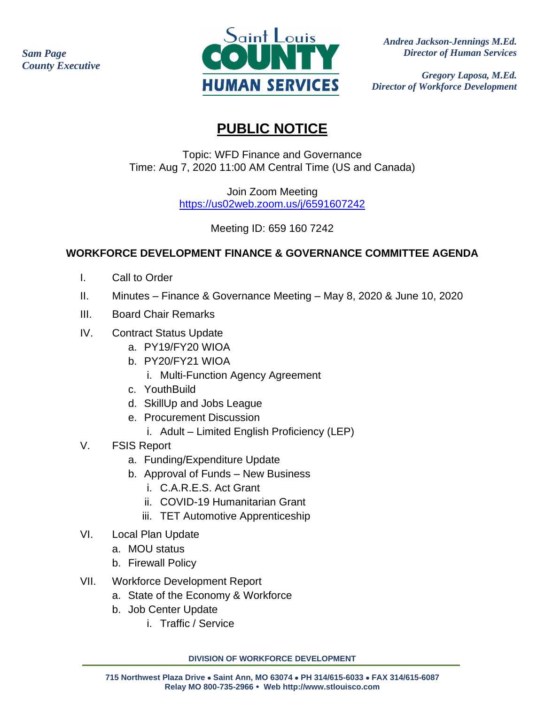*Sam Page County Executive*



 *Andrea Jackson-Jennings M.Ed. Director of Human Services*

*Gregory Laposa, M.Ed. Director of Workforce Development*

## **PUBLIC NOTICE**

Topic: WFD Finance and Governance Time: Aug 7, 2020 11:00 AM Central Time (US and Canada)

> Join Zoom Meeting <https://us02web.zoom.us/j/6591607242>

> > Meeting ID: 659 160 7242

## **WORKFORCE DEVELOPMENT FINANCE & GOVERNANCE COMMITTEE AGENDA**

- I. Call to Order
- II. Minutes Finance & Governance Meeting May 8, 2020 & June 10, 2020
- III. Board Chair Remarks
- IV. Contract Status Update
	- a. PY19/FY20 WIOA
	- b. PY20/FY21 WIOA
		- i. Multi-Function Agency Agreement
	- c. YouthBuild
	- d. SkillUp and Jobs League
	- e. Procurement Discussion
		- i. Adult Limited English Proficiency (LEP)
- V. FSIS Report
	- a. Funding/Expenditure Update
	- b. Approval of Funds New Business
		- i. C.A.R.E.S. Act Grant
		- ii. COVID-19 Humanitarian Grant
		- iii. TET Automotive Apprenticeship
- VI. Local Plan Update
	- a. MOU status
	- b. Firewall Policy
- VII. Workforce Development Report
	- a. State of the Economy & Workforce
	- b. Job Center Update
		- i. Traffic / Service

**DIVISION OF WORKFORCE DEVELOPMENT**